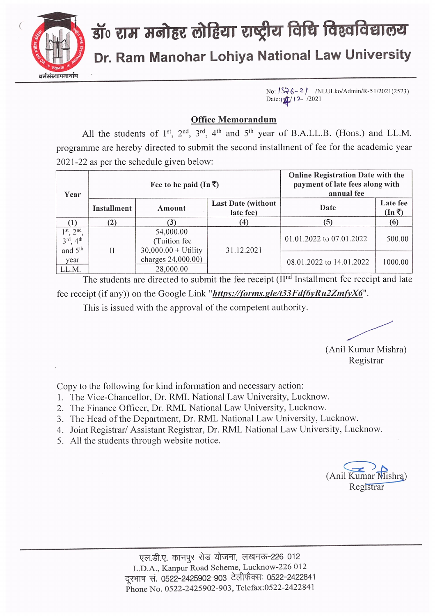

## डॉ॰ राम मनोहर लोहिया राष्ट्रीय विधि विश्वविद्यालय Dr. Ram Manohar Lohiya National Law University

No:  $1576 - 21$  /NLULko/Admin/R-51/2021(2523) Date: $12/12$  /2021

## **Office Memorandum**

All the students of 1<sup>st</sup>, 2<sup>nd</sup>, 3<sup>rd</sup>, 4<sup>th</sup> and 5<sup>th</sup> year of B.A.LL.B. (Hons.) and LL.M. programme are hereby directed to submit the second installment of fee for the academic year 2021-22 as per the schedule given below:

| Year                                                                           | Fee to be paid (In $\overline{\zeta}$ ) |                                                     |                                         | <b>Online Registration Date with the</b><br>payment of late fees along with<br>annual fee |                                   |
|--------------------------------------------------------------------------------|-----------------------------------------|-----------------------------------------------------|-----------------------------------------|-------------------------------------------------------------------------------------------|-----------------------------------|
|                                                                                | Installment                             | Amount                                              | <b>Last Date (without)</b><br>late fee) | Date                                                                                      | Late fee<br>$(\text{In} \bar{z})$ |
|                                                                                | (2)                                     | $\mathbf{3}$                                        | (4)                                     | (5)                                                                                       | (6)                               |
| $1st$ , $2nd$ .<br>$3^{\text{rd}}$ ,<br>4 <sup>th</sup><br>and 5 <sup>th</sup> | Н                                       | 54,000.00<br>(Tuition fee)<br>$30,000.00 + Utility$ | 31.12.2021                              | 01.01.2022 to 07.01.2022                                                                  | 500.00                            |
| year<br>LL.M.                                                                  |                                         | charges 24,000.00)<br>28,000.00                     |                                         | 08.01.2022 to 14.01.2022                                                                  | 1000.00                           |

The students are directed to submit the fee receipt (II<sup>nd</sup> Installment fee receipt and late fee receipt (if any)) on the Google Link "https://forms.gle/t33Fdf6yRu2ZmfyX6".

This is issued with the approval of the competent authority.

(Anil Kumar Mishra) Registrar

Copy to the following for kind information and necessary action:

- 1. The Vice-Chancellor, Dr. RML National Law University, Lucknow.
- 2. The Finance Officer, Dr. RML National Law University, Lucknow.
- 3. The Head of the Department, Dr. RML National Law University, Lucknow.
- 4. Joint Registrar/ Assistant Registrar, Dr. RML National Law University, Lucknow.
- 5. All the students through website notice.

(Anil Kumar Mishra) Registrar